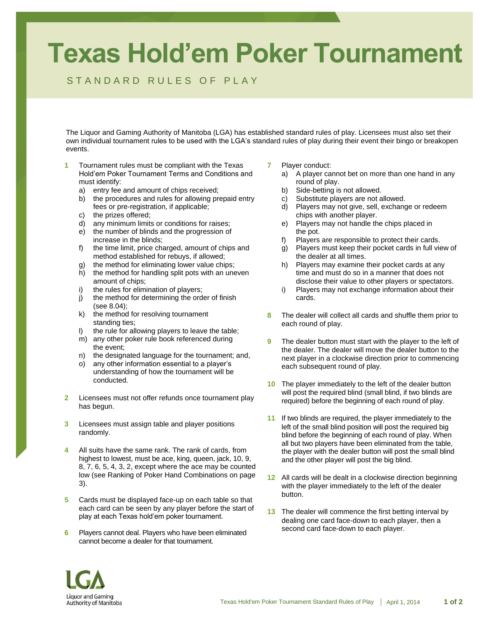## **Texas Hold'em Poker Tournament**

## STANDARD RULES OF PLAY

The Liquor and Gaming Authority of Manitoba (LGA) has established standard rules of play. Licensees must also set their own individual tournament rules to be used with the LGA's standard rules of play during their event their bingo or breakopen events.

- **1** Tournament rules must be compliant with the Texas Hold'em Poker Tournament Terms and Conditions and must identify:
	- a) entry fee and amount of chips received;
	- b) the procedures and rules for allowing prepaid entry fees or pre-registration, if applicable;
	- c) the prizes offered;
	- d) any minimum limits or conditions for raises;
	- e) the number of blinds and the progression of increase in the blinds;
	- f) the time limit, price charged, amount of chips and method established for rebuys, if allowed;
	- g) the method for eliminating lower value chips;
	- h) the method for handling split pots with an uneven amount of chips;
	- i) the rules for elimination of players;
	- j) the method for determining the order of finish (see 8.04);
	- k) the method for resolving tournament standing ties:
	- l) the rule for allowing players to leave the table;
	- m) any other poker rule book referenced during the event;
	- n) the designated language for the tournament; and,
	- o) any other information essential to a player's understanding of how the tournament will be conducted.
- **2** Licensees must not offer refunds once tournament play has begun.
- **3** Licensees must assign table and player positions randomly.
- **4** All suits have the same rank. The rank of cards, from highest to lowest, must be ace, king, queen, jack, 10, 9, 8, 7, 6, 5, 4, 3, 2, except where the ace may be counted low (see Ranking of Poker Hand Combinations on page 3).
- **5** Cards must be displayed face-up on each table so that each card can be seen by any player before the start of play at each Texas hold'em poker tournament.
- **6** Players cannot deal. Players who have been eliminated cannot become a dealer for that tournament.
- **7** Player conduct:
	- a) A player cannot bet on more than one hand in any round of play.
	- b) Side-betting is not allowed.
	- c) Substitute players are not allowed.
	- d) Players may not give, sell, exchange or redeem chips with another player.
	- e) Players may not handle the chips placed in the pot.
	- f) Players are responsible to protect their cards.
	- g) Players must keep their pocket cards in full view of the dealer at all times.
	- h) Players may examine their pocket cards at any time and must do so in a manner that does not disclose their value to other players or spectators.
	- i) Players may not exchange information about their cards.
- **8** The dealer will collect all cards and shuffle them prior to each round of play.
- **9** The dealer button must start with the player to the left of the dealer. The dealer will move the dealer button to the next player in a clockwise direction prior to commencing each subsequent round of play.
- **10** The player immediately to the left of the dealer button will post the required blind (small blind, if two blinds are required) before the beginning of each round of play.
- **11** If two blinds are required, the player immediately to the left of the small blind position will post the required big blind before the beginning of each round of play. When all but two players have been eliminated from the table, the player with the dealer button will post the small blind and the other player will post the big blind.
- **12** All cards will be dealt in a clockwise direction beginning with the player immediately to the left of the dealer button.
- **13** The dealer will commence the first betting interval by dealing one card face-down to each player, then a second card face-down to each player.